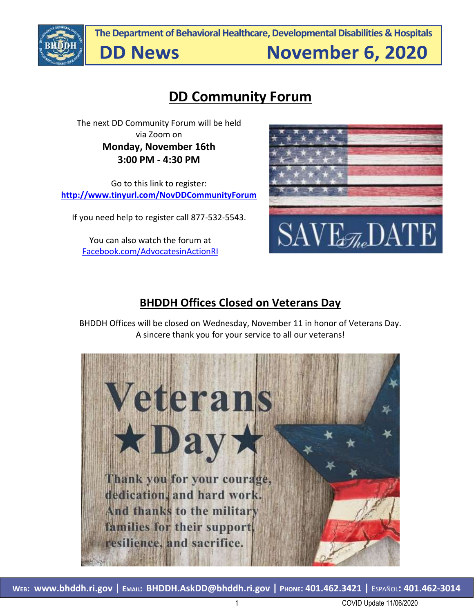

**The Department of Behavioral Healthcare, Developmental Disabilities & Hospitals**

**DD News** 

**November 6, 2020** 

## **DD Community Forum**

The next DD Community Forum will be held via Zoom on **Monday, November 16th 3:00 PM - 4:30 PM**

Go to this link to register: **<http://www.tinyurl.com/NovDDCommunityForum>**

If you need help to register call 877-532-5543.

You can also watch the forum at [Facebook.com/AdvocatesinActionRI](http://www.facebook.com/AdvocatesinActionRI)



### **BHDDH Offices Closed on Veterans Day**

BHDDH Offices will be closed on Wednesday, November 11 in honor of Veterans Day. A sincere thank you for your service to all our veterans!

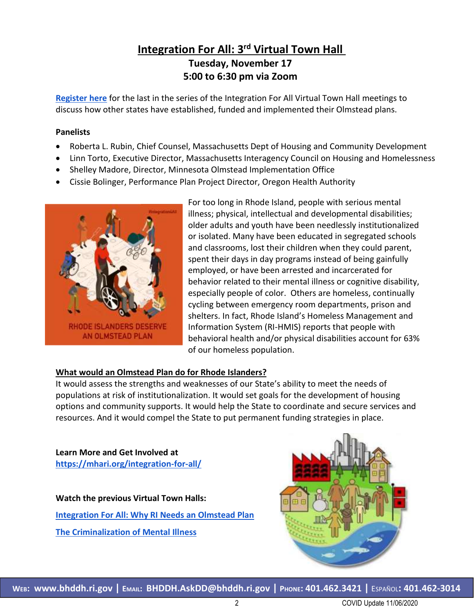#### **Integration For All: 3<sup>rd</sup> Virtual Town Hall Tuesday, November 17 5:00 to 6:30 pm via Zoom**

**[Register](https://us02web.zoom.us/webinar/register/WN_6oNdk4w5S2CTpVEfa7OCWQ) here** for the last in the series of the Integration For All Virtual Town Hall meetings to discuss how other states have established, funded and implemented their Olmstead plans.

#### **Panelists**

- Roberta L. Rubin, Chief Counsel, Massachusetts Dept of Housing and Community Development
- Linn Torto, Executive Director, Massachusetts Interagency Council on Housing and Homelessness
- Shelley Madore, Director, Minnesota Olmstead Implementation Office
- Cissie Bolinger, Performance Plan Project Director, Oregon Health Authority



For too long in Rhode Island, people with serious mental illness; physical, intellectual and developmental disabilities; older adults and youth have been needlessly institutionalized or isolated. Many have been educated in segregated schools and classrooms, lost their children when they could parent, spent their days in day programs instead of being gainfully employed, or have been arrested and incarcerated for behavior related to their mental illness or cognitive disability, especially people of color. Others are homeless, continually cycling between emergency room departments, prison and shelters. In fact, Rhode Island's Homeless Management and Information System (RI-HMIS) reports that people with behavioral health and/or physical disabilities account for 63% of our homeless population.

#### **What would an Olmstead Plan do for Rhode Islanders?**

It would assess the strengths and weaknesses of our State's ability to meet the needs of populations at risk of institutionalization. It would set goals for the development of housing options and community supports. It would help the State to coordinate and secure services and resources. And it would compel the State to put permanent funding strategies in place.

**Learn More and Get Involved at <https://mhari.org/integration-for-all/>**

**Watch the previous Virtual Town Halls: [Integration For All: Why RI Needs an Olmstead Plan](https://www.youtube.com/watch?v=rT3YzyzlI3U&t=3437s) [The Criminalization of Mental Illness](https://www.youtube.com/watch?v=NnG0mkBGHnM&t=6s)**

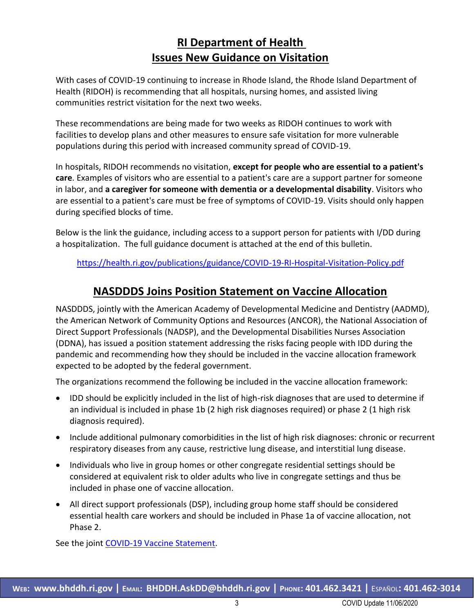#### **RI Department of Health Issues New Guidance on Visitation**

With cases of COVID-19 continuing to increase in Rhode Island, the Rhode Island Department of Health (RIDOH) is recommending that all hospitals, nursing homes, and assisted living communities restrict visitation for the next two weeks.

These recommendations are being made for two weeks as RIDOH continues to work with facilities to develop plans and other measures to ensure safe visitation for more vulnerable populations during this period with increased community spread of COVID-19.

In hospitals, RIDOH recommends no visitation, **except for people who are essential to a patient's care**. Examples of visitors who are essential to a patient's care are a support partner for someone in labor, and **a caregiver for someone with dementia or a developmental disability**. Visitors who are essential to a patient's care must be free of symptoms of COVID-19. Visits should only happen during specified blocks of time.

Below is the link the guidance, including access to a support person for patients with I/DD during a hospitalization. The full guidance document is attached at the end of this bulletin.

<https://health.ri.gov/publications/guidance/COVID-19-RI-Hospital-Visitation-Policy.pdf>

#### **NASDDDS Joins Position Statement on Vaccine Allocation**

NASDDDS, jointly with the American Academy of Developmental Medicine and Dentistry (AADMD), the American Network of Community Options and Resources (ANCOR), the National Association of Direct Support Professionals (NADSP), and the Developmental Disabilities Nurses Association (DDNA), has issued a position statement addressing the risks facing people with IDD during the pandemic and recommending how they should be included in the vaccine allocation framework expected to be adopted by the federal government.

The organizations recommend the following be included in the vaccine allocation framework:

- IDD should be explicitly included in the list of high-risk diagnoses that are used to determine if an individual is included in phase 1b (2 high risk diagnoses required) or phase 2 (1 high risk diagnosis required).
- Include additional pulmonary comorbidities in the list of high risk diagnoses: chronic or recurrent respiratory diseases from any cause, restrictive lung disease, and interstitial lung disease.
- Individuals who live in group homes or other congregate residential settings should be considered at equivalent risk to older adults who live in congregate settings and thus be included in phase one of vaccine allocation.
- All direct support professionals (DSP), including group home staff should be considered essential health care workers and should be included in Phase 1a of vaccine allocation, not Phase 2.

See the joint [COVID-19 Vaccine Statement.](https://static1.squarespace.com/static/5cf7d27396d7760001307a44/t/5f99bd13f9d8c02a1e558c89/1603910932293/Covid-19-Vaccine-Statement.pdf)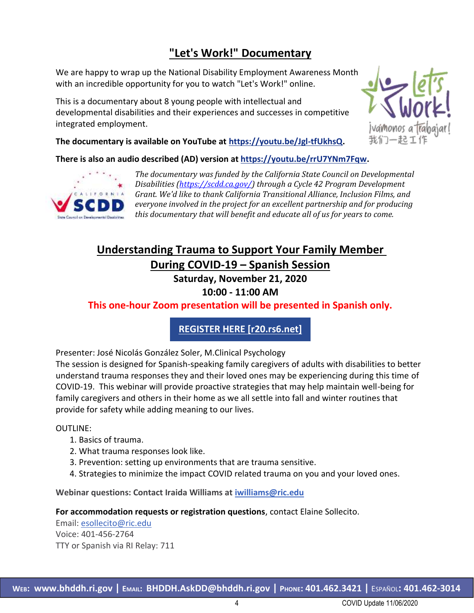### **"Let's Work!" Documentary**

We are happy to wrap up the National Disability Employment Awareness Mon[th](https://urldefense.com/v3/__http:/r20.rs6.net/tn.jsp?f=001AzaaXVvMfy6dLq3TG_QsbcNLwfDieBep_2t8tiyr3YqV3vaLEc8EpPLMO2Ew6Xe1seOGzBdvI4hD9xtMWcgeZ9RHom89DmQQAghsyM4eX5QYPgcKPPCVhb08iBWzQvU5CGpTWo_m7EbCixTnUYELyA==&c=LH9D3LEF9XwgWwnCG10CsNKhLb174pSNpXwEQlzPTXnAfDy3ic29yw==&ch=OZzsP-iUKX8rfhcn7i6yqfbhJGSrH8R4T6YQRJO4wFXQRKBGdxf42A==__;!!GYLAgPY1nfYXW-ZqwnM!fEziqhp0NwAI-Gt6-1OUVgFbOkSctlrCrsOEDdTUluZNOW3UQhXlRFeF9XRw9fW-pwGj5KU$)  with an incredible opportunity for you to watch "Let's Work!" online.

This is a documentary about 8 young people with intellectual and developmental disabilities and their experiences and successes in competitive integrated employment.



**The documentary is available on YouTube at [https://youtu.be/Jgl-tfUkhsQ.](https://urldefense.com/v3/__http:/r20.rs6.net/tn.jsp?f=001AzaaXVvMfy6dLq3TG_QsbcNLwfDieBep_2t8tiyr3YqV3vaLEc8EpPLMO2Ew6Xe1seOGzBdvI4hD9xtMWcgeZ9RHom89DmQQAghsyM4eX5QYPgcKPPCVhb08iBWzQvU5CGpTWo_m7EbCixTnUYELyA==&c=LH9D3LEF9XwgWwnCG10CsNKhLb174pSNpXwEQlzPTXnAfDy3ic29yw==&ch=OZzsP-iUKX8rfhcn7i6yqfbhJGSrH8R4T6YQRJO4wFXQRKBGdxf42A==__;!!GYLAgPY1nfYXW-ZqwnM!fEziqhp0NwAI-Gt6-1OUVgFbOkSctlrCrsOEDdTUluZNOW3UQhXlRFeF9XRw9fW-pwGj5KU$)**

**There is also an audio described (AD) version at [https://youtu.be/rrU7YNm7Fqw.](https://urldefense.com/v3/__http:/r20.rs6.net/tn.jsp?f=001AzaaXVvMfy6dLq3TG_QsbcNLwfDieBep_2t8tiyr3YqV3vaLEc8EpPLMO2Ew6Xe1LOt_Iw0MAsW_zAsQLL2pdOB2r2tMMtg9p28KOu0sUhdsnrvjsMexLZQz7xmn6qaJFrkl7sma1k--tmYTB7JyxA==&c=LH9D3LEF9XwgWwnCG10CsNKhLb174pSNpXwEQlzPTXnAfDy3ic29yw==&ch=OZzsP-iUKX8rfhcn7i6yqfbhJGSrH8R4T6YQRJO4wFXQRKBGdxf42A==__;!!GYLAgPY1nfYXW-ZqwnM!fEziqhp0NwAI-Gt6-1OUVgFbOkSctlrCrsOEDdTUluZNOW3UQhXlRFeF9XRw9fW-XKRH6EI$)**



*The documentary was funded by the California State Council on Developmental Disabilities [\(https://scdd.ca.gov/\)](https://scdd.ca.gov/) through a Cycle 42 Program Development Grant. We'd like to thank California Transitional Alliance, Inclusion Films, and everyone involved in the project for an excellent partnership and for producing this documentary that will benefit and educate all of us for years to come.*

## **Understanding Trauma to Support Your Family Member**

**During COVID-19 – Spanish Session**

**Saturday, November 21, 2020**

#### **10:00 - 11:00 AM**

#### **This one-hour Zoom presentation will be presented in Spanish only.**

**[REGISTER HERE \[r20.rs6.net\]](https://urldefense.com/v3/__http:/r20.rs6.net/tn.jsp?f=001Jdbi2n9Ec1yNAaOwlzjzvpKNODqN0xf9fUOdqBWdS72YzzJXw5WT6Pyq_9rCFISlsDH8DFILa-0i4JrRrQzFJrEnXR_6IViGGZDjis1xiTaIR7z19M9nD9DaFEkgxDHKbL-2zFHQyb-mITkomHkRTbTlShR2G6XgJx2FmqinTpJXQq4ggpPFtrg5NBwGUEOB&c=rPY7pJ0IXi4LphQWxhGAthLo7AZSm1Y7mhlQoHPf_Kn9WuXkHjv3Ng==&ch=xTSCZy99vJgtkbMem9vGpQJ_mvShoFji7J6SVHtOcXBUWnBRwwRCmw==__;!!KKphUJtCzQ!ZStY2Mnhsp14JRA7OyaPJP4Ze_pXOKZLkPcZvX-lUG-Z6gsXS2ENfARQaqyTvQ3D51gbx9M$)**

Presenter: José Nicolás González Soler, M.Clinical Psychology

The session is designed for Spanish-speaking family caregivers of adults with disabilities to better understand trauma responses they and their loved ones may be experiencing during this time of COVID-19. This webinar will provide proactive strategies that may help maintain well-being for family caregivers and others in their home as we all settle into fall and winter routines that provide for safety while adding meaning to our lives.

#### OUTLINE:

- 1. Basics of trauma.
- 2. What trauma responses look like.
- 3. Prevention: setting up environments that are trauma sensitive.
- 4. Strategies to minimize the impact COVID related trauma on you and your loved ones.

**Webinar questions: Contact Iraida Williams at [iwilliams@ric.edu](mailto:iwilliams@ric.edu)**

**For accommodation requests or registration questions**, contact Elaine Sollecito.

Email: [esollecito@ric.edu](mailto:esollecito@ric.edu) Voice: 401-456-2764 TTY or Spanish via RI Relay: 711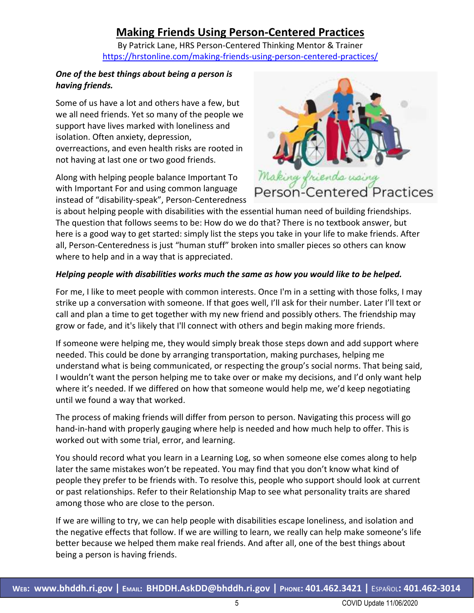#### **Making Friends Using Person-Centered Practices**

By Patrick Lane, HRS Person-Centered Thinking Mentor & Trainer <https://hrstonline.com/making-friends-using-person-centered-practices/>

#### *One of the best things about being a person is having friends.*

Some of us have a lot and others have a few, but we all need friends. Yet so many of the people we support have lives marked with loneliness and isolation. Often anxiety, depression, overreactions, and even health risks are rooted in not having at last one or two good friends.

Along with helping people balance Important To with Important For and using common language instead of "disability-speak", Person-Centeredness



is about helping people with disabilities with the essential human need of building friendships. The question that follows seems to be: How do we do that? There is no textbook answer, but here is a good way to get started: simply list the steps you take in your life to make friends. After all, Person-Centeredness is just "human stuff" broken into smaller pieces so others can know where to help and in a way that is appreciated.

#### *Helping people with disabilities works much the same as how you would like to be helped.*

For me, I like to meet people with common interests. Once I'm in a setting with those folks, I may strike up a conversation with someone. If that goes well, I'll ask for their number. Later I'll text or call and plan a time to get together with my new friend and possibly others. The friendship may grow or fade, and it's likely that I'll connect with others and begin making more friends.

If someone were helping me, they would simply break those steps down and add support where needed. This could be done by arranging transportation, making purchases, helping me understand what is being communicated, or respecting the group's social norms. That being said, I wouldn't want the person helping me to take over or make my decisions, and I'd only want help where it's needed. If we differed on how that someone would help me, we'd keep negotiating until we found a way that worked.

The process of making friends will differ from person to person. Navigating this process will go hand-in-hand with properly gauging where help is needed and how much help to offer. This is worked out with some trial, error, and learning.

You should record what you learn in a Learning Log, so when someone else comes along to help later the same mistakes won't be repeated. You may find that you don't know what kind of people they prefer to be friends with. To resolve this, people who support should look at current or past relationships. Refer to their Relationship Map to see what personality traits are shared among those who are close to the person.

If we are willing to try, we can help people with disabilities escape loneliness, and isolation and the negative effects that follow. If we are willing to learn, we really can help make someone's life better because we helped them make real friends. And after all, one of the best things about being a person is having friends.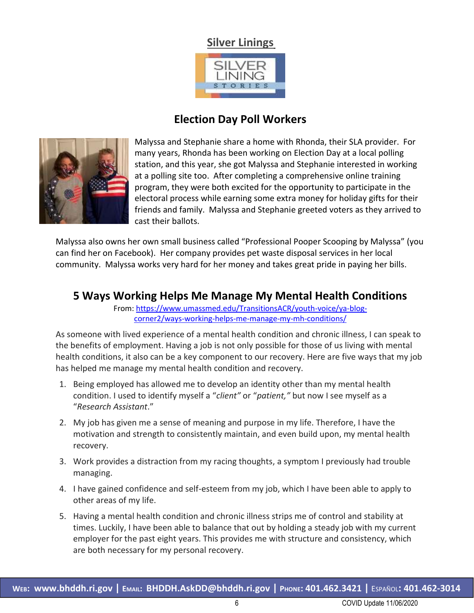#### **Silver Linings**



#### **Election Day Poll Workers**



Malyssa and Stephanie share a home with Rhonda, their SLA provider. For many years, Rhonda has been working on Election Day at a local polling station, and this year, she got Malyssa and Stephanie interested in working at a polling site too. After completing a comprehensive online training program, they were both excited for the opportunity to participate in the electoral process while earning some extra money for holiday gifts for their friends and family. Malyssa and Stephanie greeted voters as they arrived to cast their ballots.

Malyssa also owns her own small business called "Professional Pooper Scooping by Malyssa" (you can find her on Facebook). Her company provides pet waste disposal services in her local community. Malyssa works very hard for her money and takes great pride in paying her bills.

#### **5 Ways Working Helps Me Manage My Mental Health Conditions**

From[: https://www.umassmed.edu/TransitionsACR/youth-voice/ya-blog](https://www.umassmed.edu/TransitionsACR/youth-voice/ya-blog-corner2/ways-working-helps-me-manage-my-mh-conditions/)[corner2/ways-working-helps-me-manage-my-mh-conditions/](https://www.umassmed.edu/TransitionsACR/youth-voice/ya-blog-corner2/ways-working-helps-me-manage-my-mh-conditions/)

As someone with lived experience of a mental health condition and chronic illness, I can speak to the benefits of employment. Having a job is not only possible for those of us living with mental health conditions, it also can be a key component to our recovery. Here are five ways that my job has helped me manage my mental health condition and recovery.

- 1. Being employed has allowed me to develop an identity other than my mental health condition. I used to identify myself a "*client"* or "*patient,"* but now I see myself as a "*Research Assistant*."
- 2. My job has given me a sense of meaning and purpose in my life. Therefore, I have the motivation and strength to consistently maintain, and even build upon, my mental health recovery.
- 3. Work provides a distraction from my racing thoughts, a symptom I previously had trouble managing.
- 4. I have gained confidence and self-esteem from my job, which I have been able to apply to other areas of my life.
- 5. Having a mental health condition and chronic illness strips me of control and stability at times. Luckily, I have been able to balance that out by holding a steady job with my current employer for the past eight years. This provides me with structure and consistency, which are both necessary for my personal recovery.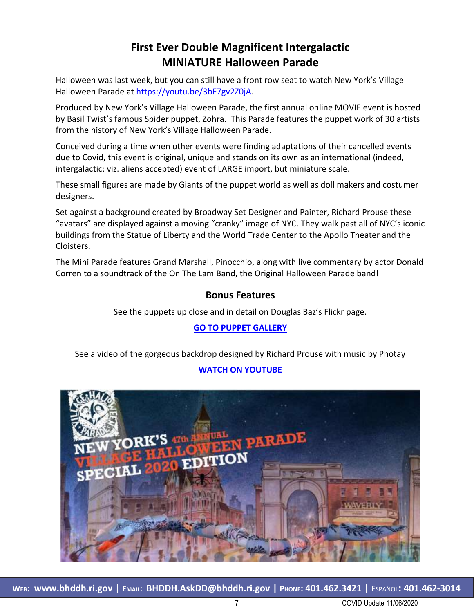### **First Ever Double Magnificent Intergalactic MINIATURE Halloween Parade**

Halloween was last week, but you can still have a front row seat to watch New York's Village Halloween Parade at [https://youtu.be/3bF7gv2Z0jA.](https://youtu.be/3bF7gv2Z0jA)

Produced by New York's Village Halloween Parade, the first annual online MOVIE event is hosted by Basil Twist's famous Spider puppet, Zohra. This Parade features the puppet work of 30 artists from the history of New York's Village Halloween Parade.

Conceived during a time when other events were finding adaptations of their cancelled events due to Covid, this event is original, unique and stands on its own as an international (indeed, intergalactic: viz. aliens accepted) event of LARGE import, but miniature scale.

These small figures are made by Giants of the puppet world as well as doll makers and costumer designers.

Set against a background created by Broadway Set Designer and Painter, Richard Prouse these "avatars" are displayed against a moving "cranky" image of NYC. They walk past all of NYC's iconic buildings from the Statue of Liberty and the World Trade Center to the Apollo Theater and the Cloisters.

The Mini Parade features Grand Marshall, Pinocchio, along with live commentary by actor Donald Corren to a soundtrack of the On The Lam Band, the Original Halloween Parade band!

#### **Bonus Features**

See the puppets up close and in detail on Douglas Baz's Flickr page.

#### **[GO TO PUPPET GALLERY](https://www.flickr.com/photos/dougbaz/albums/72157716675997056)**

See a video of the gorgeous backdrop designed by Richard Prouse with music by Photay

#### **[WATCH ON YOUTUBE](https://youtu.be/tdcBRmTnhbs)**

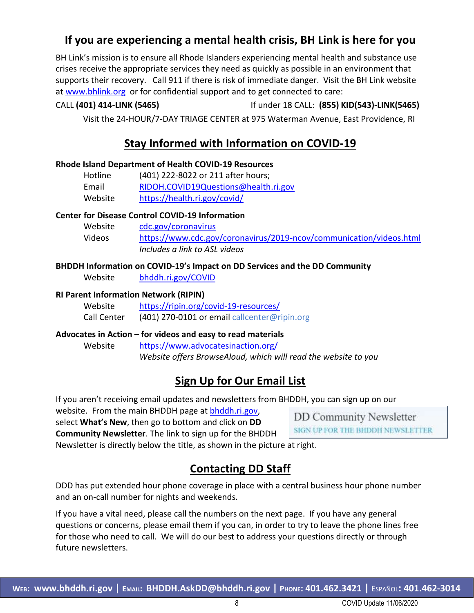#### **If you are experiencing a mental health crisis, BH Link is here for you**

BH Link's mission is to ensure all Rhode Islanders experiencing mental health and substance use crises receive the appropriate services they need as quickly as possible in an environment that supports their recovery. Call 911 if there is risk of immediate danger. Visit the BH Link website at [www.bhlink.org](http://www.bhlink.org/) or for confidential support and to get connected to care:

#### CALL **(401) 414-LINK (5465)** If under 18 CALL: **(855) KID(543)-LINK(5465)**

Visit the 24-HOUR/7-DAY TRIAGE CENTER at 975 Waterman Avenue, East Providence, RI

#### **Stay Informed with Information on COVID-19**

#### **Rhode Island Department of Health COVID-19 Resources**

| Hotline | (401) 222-8022 or 211 after hours;   |
|---------|--------------------------------------|
| Email   | RIDOH.COVID19Questions@health.ri.gov |
| Website | https://health.ri.gov/covid/         |

#### **Center for Disease Control COVID-19 Information**

| Website | cdc.gov/coronavirus                                                 |
|---------|---------------------------------------------------------------------|
| Videos  | https://www.cdc.gov/coronavirus/2019-ncov/communication/videos.html |
|         | Includes a link to ASL videos                                       |

#### **BHDDH Information on COVID-19's Impact on DD Services and the DD Community**

Website [bhddh.ri.gov/COVID](http://www.bhddh.ri.gov/COVID) 

#### **RI Parent Information Network (RIPIN)**

| Website     | https://ripin.org/covid-19-resources/        |
|-------------|----------------------------------------------|
| Call Center | (401) 270-0101 or email callcenter@ripin.org |

#### **Advocates in Action – for videos and easy to read materials**

Website <https://www.advocatesinaction.org/> *Website offers BrowseAloud, which will read the website to you*

#### **Sign Up for Our Email List**

If you aren't receiving email updates and newsletters from BHDDH, you can sign up on our

website. From the main BHDDH page at [bhddh.ri.gov,](http://www.bhddh.ri.gov/) select **What's New**, then go to bottom and click on **DD Community Newsletter**. The link to sign up for the BHDDH

**DD Community Newsletter** SIGN UP FOR THE BHDDH NEWSLETTER

Newsletter is directly below the title, as shown in the picture at right.

#### **Contacting DD Staff**

DDD has put extended hour phone coverage in place with a central business hour phone number and an on-call number for nights and weekends.

If you have a vital need, please call the numbers on the next page. If you have any general questions or concerns, please email them if you can, in order to try to leave the phone lines free for those who need to call. We will do our best to address your questions directly or through future newsletters.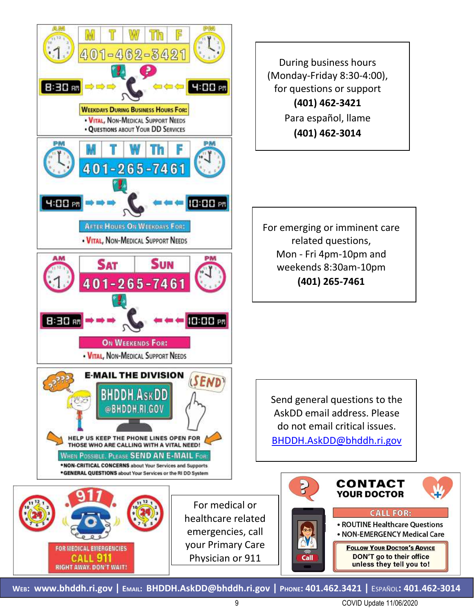

During business hours (Monday-Friday 8:30-4:00), for questions or support **(401) 462-3421** Para español, llame **(401) 462-3014**

For emerging or imminent care related questions, Mon - Fri 4pm-10pm and weekends 8:30am-10pm **(401) 265-7461**

Send general questions to the AskDD email address. Please do not email critical issues. [BHDDH.AskDD@bhddh.ri.gov](mailto:BHDDH.AskDD@bhddh.ri.gov)



**WEB: [www.bhddh.ri.gov](http://www.bhddh.ri.gov/) | EMAIL: [BHDDH.AskDD@bhddh.ri.gov](mailto:BHDDH.AskDD@bhddh.ri.gov) | PHONE: 401.462.3421 |** ESPAÑOL**: 401.462-3014**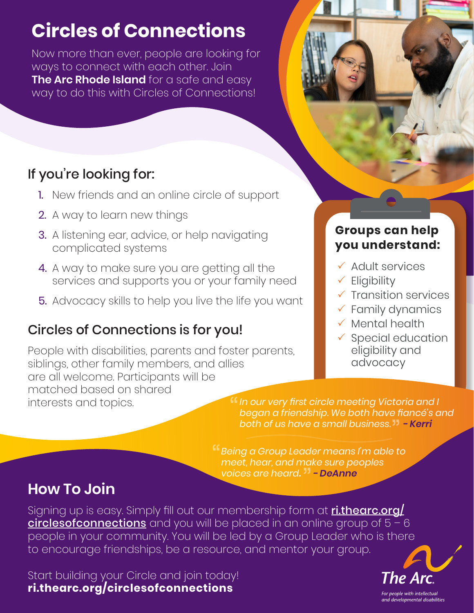# **Circles of Connections**

Now more than ever, people are looking for ways to connect with each other. Join **The Arc Rhode Island** for a safe and easy way to do this with Circles of Connections!

## If you're looking for:

- 1. New friends and an online circle of support
- 2. A way to learn new things
- 3. A listening ear, advice, or help navigating complicated systems
- 4. A way to make sure you are getting all the services and supports you or your family need
- 5. Advocacy skills to help you live the life you want

## Circles of Connections is for you!

People with disabilities, parents and foster parents, siblings, other family members, and allies are all welcome. Participants will be matched based on shared interests and topics.

## **Groups can help you understand::**

- Adult services
- $\checkmark$  Eligibility
- **Transition services**
- $\checkmark$  Family dynamics
- $\checkmark$  Mental health
- $\checkmark$  Special education eligibility and advocacy

*In our very first circle meeting Victoria and I began a friendship. We both have fiancé's and both of us have a small business. - Kerri*

*Being a Group Leader means I'm able to meet, hear, and make sure peoples voices are heard. - DeAnne*

## **How To Join**

Signing up is easy. Simply fill out our membership form at **ri.thearc.org/** circlesofconnections and you will be placed in an online group of  $5 - 6$ people in your community. You will be led by a Group Leader who is there to encourage friendships, be a resource, and mentor your group.

Start building your Circle and join today! **ri.thearc.org/circlesofconnections**



For people with intellectual and developmental disabilities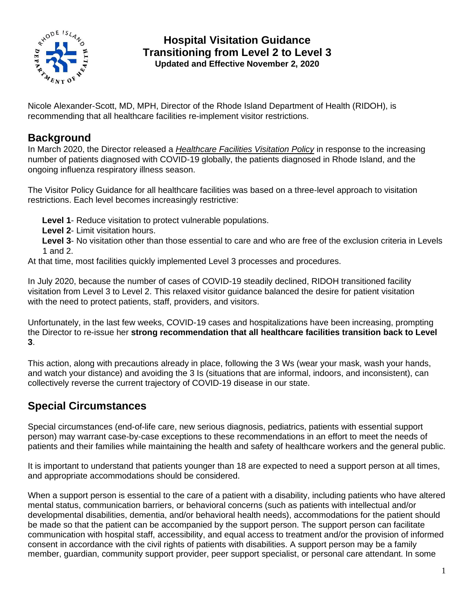

#### **Hospital Visitation Guidance Transitioning from Level 2 to Level 3 Updated and Effective November 2, 2020**

Nicole Alexander-Scott, MD, MPH, Director of the Rhode Island Department of Health (RIDOH), is recommending that all healthcare facilities re-implement visitor restrictions.

#### **Background**

In March 2020, the Director released a *Healthcare Facilities Visitation Policy* in response to the increasing number of patients diagnosed with COVID-19 globally, the patients diagnosed in Rhode Island, and the ongoing influenza respiratory illness season.

The Visitor Policy Guidance for all healthcare facilities was based on a three-level approach to visitation restrictions. Each level becomes increasingly restrictive:

**Level 1**- Reduce visitation to protect vulnerable populations.

**Level 2**- Limit visitation hours.

**Level 3**- No visitation other than those essential to care and who are free of the exclusion criteria in Levels 1 and 2.

At that time, most facilities quickly implemented Level 3 processes and procedures.

In July 2020, because the number of cases of COVID-19 steadily declined, RIDOH transitioned facility visitation from Level 3 to Level 2. This relaxed visitor guidance balanced the desire for patient visitation with the need to protect patients, staff, providers, and visitors.

Unfortunately, in the last few weeks, COVID-19 cases and hospitalizations have been increasing, prompting the Director to re-issue her **strong recommendation that all healthcare facilities transition back to Level 3**.

This action, along with precautions already in place, following the 3 Ws (wear your mask, wash your hands, and watch your distance) and avoiding the 3 Is (situations that are informal, indoors, and inconsistent), can collectively reverse the current trajectory of COVID-19 disease in our state.

#### **Special Circumstances**

Special circumstances (end-of-life care, new serious diagnosis, pediatrics, patients with essential support person) may warrant case-by-case exceptions to these recommendations in an effort to meet the needs of patients and their families while maintaining the health and safety of healthcare workers and the general public.

It is important to understand that patients younger than 18 are expected to need a support person at all times, and appropriate accommodations should be considered.

When a support person is essential to the care of a patient with a disability, including patients who have altered mental status, communication barriers, or behavioral concerns (such as patients with intellectual and/or developmental disabilities, dementia, and/or behavioral health needs), accommodations for the patient should be made so that the patient can be accompanied by the support person. The support person can facilitate communication with hospital staff, accessibility, and equal access to treatment and/or the provision of informed consent in accordance with the civil rights of patients with disabilities. A support person may be a family member, guardian, community support provider, peer support specialist, or personal care attendant. In some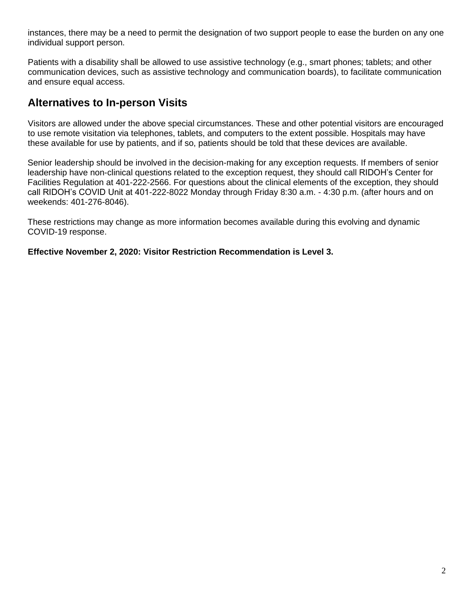instances, there may be a need to permit the designation of two support people to ease the burden on any one individual support person.

Patients with a disability shall be allowed to use assistive technology (e.g., smart phones; tablets; and other communication devices, such as assistive technology and communication boards), to facilitate communication and ensure equal access.

#### **Alternatives to In-person Visits**

Visitors are allowed under the above special circumstances. These and other potential visitors are encouraged to use remote visitation via telephones, tablets, and computers to the extent possible. Hospitals may have these available for use by patients, and if so, patients should be told that these devices are available.

Senior leadership should be involved in the decision-making for any exception requests. If members of senior leadership have non-clinical questions related to the exception request, they should call RIDOH's Center for Facilities Regulation at 401-222-2566. For questions about the clinical elements of the exception, they should call RIDOH's COVID Unit at 401-222-8022 Monday through Friday 8:30 a.m. - 4:30 p.m. (after hours and on weekends: 401-276-8046).

These restrictions may change as more information becomes available during this evolving and dynamic COVID-19 response.

**Effective November 2, 2020: Visitor Restriction Recommendation is Level 3.**